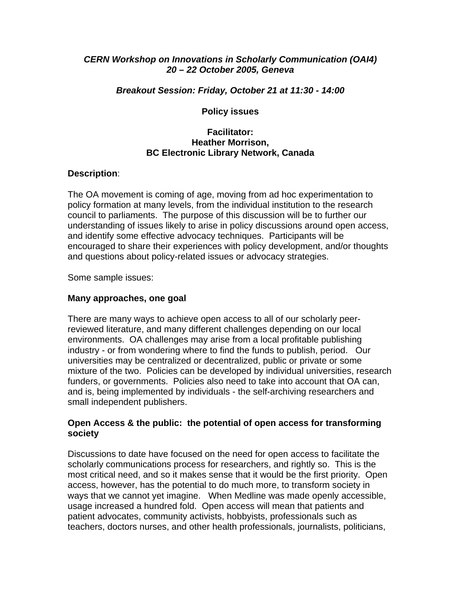# *CERN Workshop on Innovations in Scholarly Communication (OAI4) 20 – 22 October 2005, Geneva*

### *Breakout Session: Friday, October 21 at 11:30 - 14:00*

### **Policy issues**

### **Facilitator: Heather Morrison, BC Electronic Library Network, Canada**

# **Description**:

The OA movement is coming of age, moving from ad hoc experimentation to policy formation at many levels, from the individual institution to the research council to parliaments. The purpose of this discussion will be to further our understanding of issues likely to arise in policy discussions around open access, and identify some effective advocacy techniques. Participants will be encouraged to share their experiences with policy development, and/or thoughts and questions about policy-related issues or advocacy strategies.

Some sample issues:

# **Many approaches, one goal**

There are many ways to achieve open access to all of our scholarly peerreviewed literature, and many different challenges depending on our local environments. OA challenges may arise from a local profitable publishing industry - or from wondering where to find the funds to publish, period. Our universities may be centralized or decentralized, public or private or some mixture of the two. Policies can be developed by individual universities, research funders, or governments. Policies also need to take into account that OA can, and is, being implemented by individuals - the self-archiving researchers and small independent publishers.

#### **Open Access & the public: the potential of open access for transforming society**

Discussions to date have focused on the need for open access to facilitate the scholarly communications process for researchers, and rightly so. This is the most critical need, and so it makes sense that it would be the first priority. Open access, however, has the potential to do much more, to transform society in ways that we cannot yet imagine. When Medline was made openly accessible, usage increased a hundred fold. Open access will mean that patients and patient advocates, community activists, hobbyists, professionals such as teachers, doctors nurses, and other health professionals, journalists, politicians,